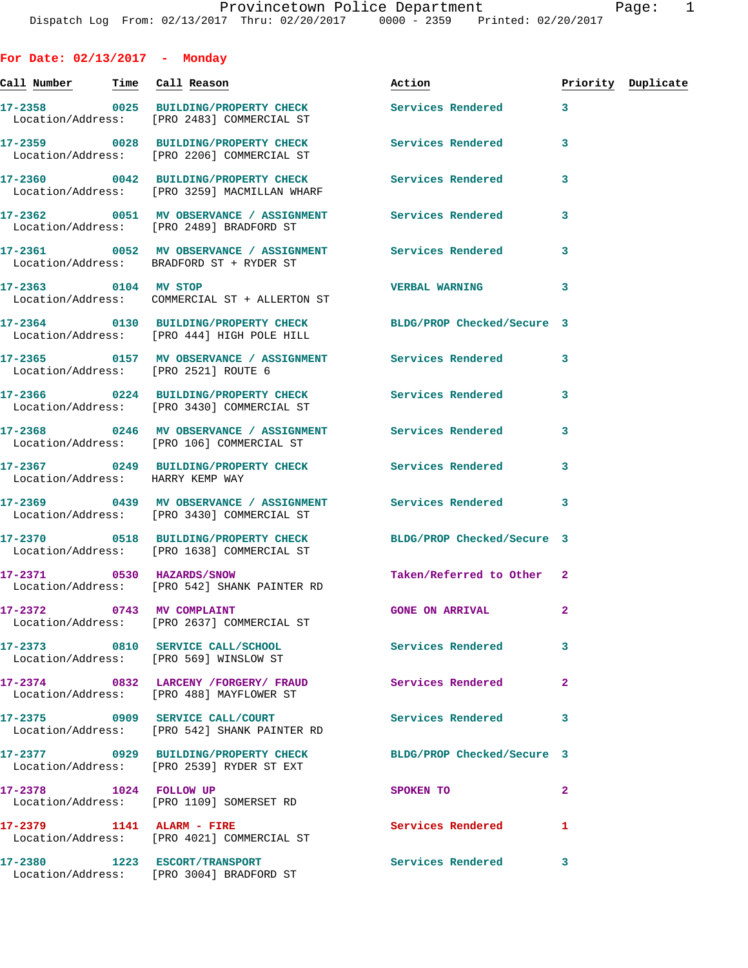**For Date: 02/13/2017 - Monday Call Number Time Call Reason Action Priority Duplicate 17-2358 0025 BUILDING/PROPERTY CHECK Services Rendered 3**  Location/Address: [PRO 2483] COMMERCIAL ST **17-2359 0028 BUILDING/PROPERTY CHECK Services Rendered 3**  Location/Address: [PRO 2206] COMMERCIAL ST **17-2360 0042 BUILDING/PROPERTY CHECK Services Rendered 3**  Location/Address: [PRO 3259] MACMILLAN WHARF **17-2362 0051 MV OBSERVANCE / ASSIGNMENT Services Rendered 3**  Location/Address: [PRO 2489] BRADFORD ST **17-2361 0052 MV OBSERVANCE / ASSIGNMENT Services Rendered 3**  Location/Address: BRADFORD ST + RYDER ST **17-2363 0104 MV STOP VERBAL WARNING 3**  Location/Address: COMMERCIAL ST + ALLERTON ST **17-2364 0130 BUILDING/PROPERTY CHECK BLDG/PROP Checked/Secure 3**  Location/Address: [PRO 444] HIGH POLE HILL **17-2365 0157 MV OBSERVANCE / ASSIGNMENT Services Rendered 3**  Location/Address: [PRO 2521] ROUTE 6 **17-2366 0224 BUILDING/PROPERTY CHECK Services Rendered 3**  Location/Address: [PRO 3430] COMMERCIAL ST **17-2368 0246 MV OBSERVANCE / ASSIGNMENT Services Rendered 3**  Location/Address: [PRO 106] COMMERCIAL ST **17-2367 0249 BUILDING/PROPERTY CHECK Services Rendered 3**  Location/Address: HARRY KEMP WAY **17-2369 0439 MV OBSERVANCE / ASSIGNMENT Services Rendered 3**  Location/Address: [PRO 3430] COMMERCIAL ST **17-2370 0518 BUILDING/PROPERTY CHECK BLDG/PROP Checked/Secure 3**  Location/Address: [PRO 1638] COMMERCIAL ST **17-2371 0530 HAZARDS/SNOW Taken/Referred to Other 2**  Location/Address: [PRO 542] SHANK PAINTER RD **17-2372 0743 MV COMPLAINT GONE ON ARRIVAL 2**  Location/Address: [PRO 2637] COMMERCIAL ST **17-2373 0810 SERVICE CALL/SCHOOL Services Rendered 3**  Location/Address: [PRO 569] WINSLOW ST **17-2374 0832 LARCENY /FORGERY/ FRAUD Services Rendered 2**  Location/Address: [PRO 488] MAYFLOWER ST **17-2375 0909 SERVICE CALL/COURT Services Rendered 3**  Location/Address: [PRO 542] SHANK PAINTER RD **17-2377 0929 BUILDING/PROPERTY CHECK BLDG/PROP Checked/Secure 3**  Location/Address: [PRO 2539] RYDER ST EXT **17-2378 1024 FOLLOW UP SPOKEN TO 2**  Location/Address: [PRO 1109] SOMERSET RD **17-2379 1141 ALARM - FIRE Services Rendered 1**  Location/Address: [PRO 4021] COMMERCIAL ST

Location/Address: [PRO 3004] BRADFORD ST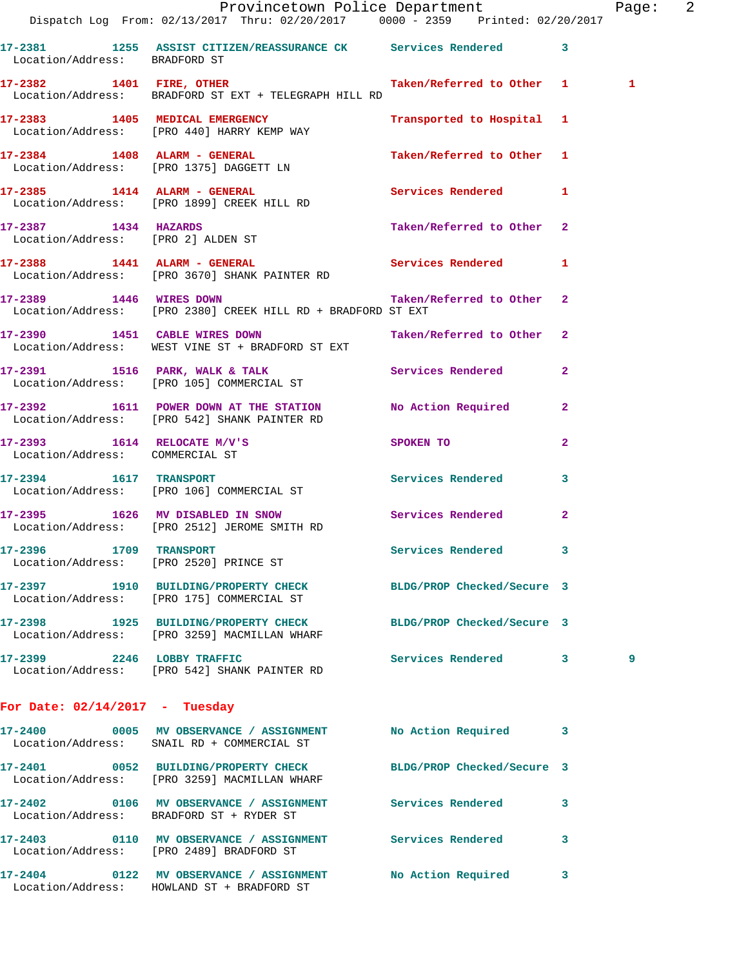|                                    | Provincetown Police Department The Page: 2<br>Dispatch Log From: 02/13/2017 Thru: 02/20/2017 0000 - 2359 Printed: 02/20/2017 |                                                                                 |              |   |  |
|------------------------------------|------------------------------------------------------------------------------------------------------------------------------|---------------------------------------------------------------------------------|--------------|---|--|
| Location/Address: BRADFORD ST      | 17-2381 1255 ASSIST CITIZEN/REASSURANCE CK Services Rendered 3                                                               |                                                                                 |              |   |  |
|                                    | 17-2382 1401 FIRE, OTHER Taken/Referred to Other 1 1<br>Location/Address: BRADFORD ST EXT + TELEGRAPH HILL RD                |                                                                                 |              |   |  |
|                                    | 17-2383 1405 MEDICAL EMERGENCY<br>Location/Address: [PRO 440] HARRY KEMP WAY                                                 | Transported to Hospital 1                                                       |              |   |  |
|                                    | 17-2384 1408 ALARM - GENERAL Taken/Referred to Other 1<br>Location/Address: [PRO 1375] DAGGETT LN                            |                                                                                 |              |   |  |
|                                    | 17-2385 1414 ALARM - GENERAL<br>Location/Address: [PRO 1899] CREEK HILL RD                                                   | Services Rendered 1                                                             |              |   |  |
| Location/Address: [PRO 2] ALDEN ST | 17-2387 1434 HAZARDS                                                                                                         | Taken/Referred to Other 2                                                       |              |   |  |
|                                    | 17-2388 1441 ALARM - GENERAL Services Rendered 1<br>Location/Address: [PRO 3670] SHANK PAINTER RD                            |                                                                                 |              |   |  |
|                                    | 17-2389 1446 WIRES DOWN Taken/Referred to Other 2<br>Location/Address: [PRO 2380] CREEK HILL RD + BRADFORD ST EXT            |                                                                                 |              |   |  |
|                                    | 17-2390 1451 CABLE WIRES DOWN<br>Location/Address: WEST VINE ST + BRADFORD ST EXT                                            | Taken/Referred to Other 2                                                       |              |   |  |
|                                    | 17-2391 1516 PARK, WALK & TALK 1998 Services Rendered<br>Location/Address: [PRO 105] COMMERCIAL ST                           |                                                                                 | $\mathbf{2}$ |   |  |
|                                    | 17-2392 1611 POWER DOWN AT THE STATION No Action Required 2<br>Location/Address: [PRO 542] SHANK PAINTER RD                  |                                                                                 |              |   |  |
| Location/Address: COMMERCIAL ST    | $17-2393$ 1614 RELOCATE M/V'S                                                                                                | SPOKEN TO AND TO A STRUCK TO A THING OF THE STRUCK OF THE STRUCK OF THE STRUCK. | 2            |   |  |
|                                    | 17-2394 1617 TRANSPORT<br>Location/Address: [PRO 106] COMMERCIAL ST                                                          | Services Rendered 3                                                             |              |   |  |
|                                    | 17-2395 1626 MV DISABLED IN SNOW Services Rendered 2<br>Location/Address: [PRO 2512] JEROME SMITH RD                         |                                                                                 |              |   |  |
| 17-2396 1709 TRANSPORT             | Location/Address: [PRO 2520] PRINCE ST                                                                                       | <b>Services Rendered</b>                                                        |              |   |  |
|                                    | 17-2397 1910 BUILDING/PROPERTY CHECK BLDG/PROP Checked/Secure 3<br>Location/Address: [PRO 175] COMMERCIAL ST                 |                                                                                 |              |   |  |
|                                    | 17-2398 1925 BUILDING/PROPERTY CHECK<br>Location/Address: [PRO 3259] MACMILLAN WHARF                                         | BLDG/PROP Checked/Secure 3                                                      |              |   |  |
|                                    | 17-2399 2246 LOBBY TRAFFIC<br>Location/Address: [PRO 542] SHANK PAINTER RD                                                   | Services Rendered 3                                                             |              | 9 |  |
| For Date: $02/14/2017$ - Tuesday   |                                                                                                                              |                                                                                 |              |   |  |
|                                    | 17-2400 0005 MV OBSERVANCE / ASSIGNMENT No Action Required<br>Location/Address: SNAIL RD + COMMERCIAL ST                     |                                                                                 | -3           |   |  |
|                                    | 17-2401 0052 BUILDING/PROPERTY CHECK BLDG/PROP Checked/Secure 3<br>Location/Address: [PRO 3259] MACMILLAN WHARF              |                                                                                 |              |   |  |
|                                    | 17-2402 0106 MV OBSERVANCE / ASSIGNMENT Services Rendered<br>Location/Address: BRADFORD ST + RYDER ST                        |                                                                                 | 3            |   |  |
|                                    | 17-2403 0110 MV OBSERVANCE / ASSIGNMENT Services Rendered 3<br>Location/Address: [PRO 2489] BRADFORD ST                      |                                                                                 |              |   |  |
|                                    | 17-2404 0122 MV OBSERVANCE / ASSIGNMENT<br>Location/Address: HOWLAND ST + BRADFORD ST                                        | No Action Required                                                              | 3            |   |  |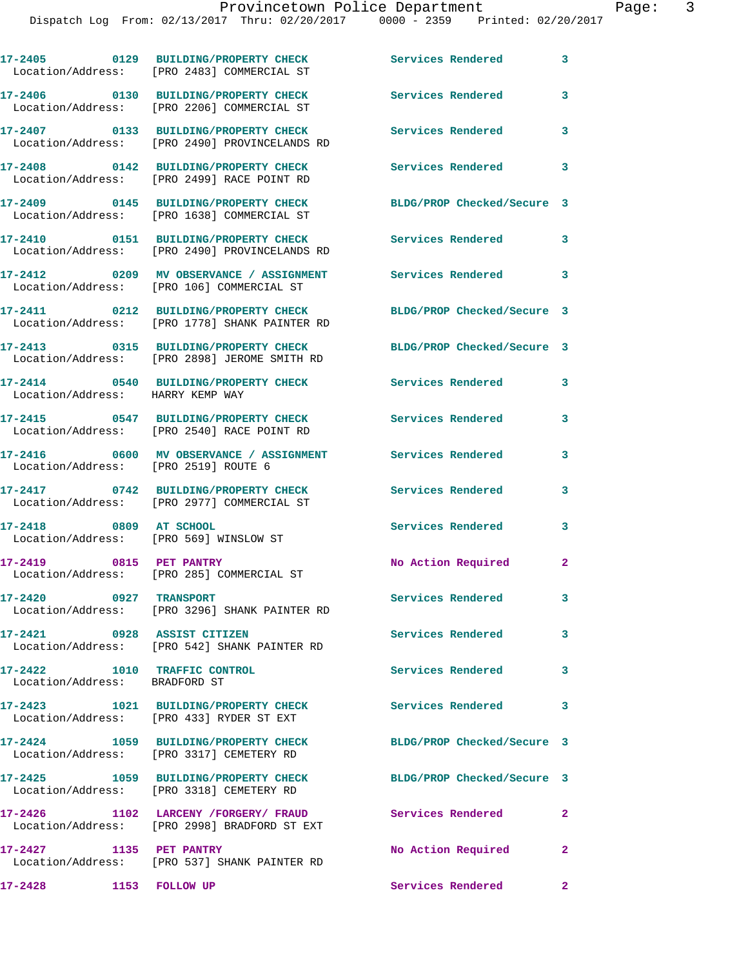|                                                               | 17-2405 0129 BUILDING/PROPERTY CHECK<br>Location/Address: [PRO 2483] COMMERCIAL ST                       | Services Rendered          | 3                       |
|---------------------------------------------------------------|----------------------------------------------------------------------------------------------------------|----------------------------|-------------------------|
|                                                               | 17-2406 0130 BUILDING/PROPERTY CHECK<br>Location/Address: [PRO 2206] COMMERCIAL ST                       | Services Rendered          | 3                       |
|                                                               | 17-2407 0133 BUILDING/PROPERTY CHECK<br>Location/Address: [PRO 2490] PROVINCELANDS RD                    | <b>Services Rendered</b>   | 3                       |
|                                                               | 17-2408 0142 BUILDING/PROPERTY CHECK<br>Location/Address: [PRO 2499] RACE POINT RD                       | Services Rendered          | $\overline{\mathbf{3}}$ |
|                                                               | 17-2409 0145 BUILDING/PROPERTY CHECK<br>Location/Address: [PRO 1638] COMMERCIAL ST                       | BLDG/PROP Checked/Secure 3 |                         |
|                                                               | 17-2410 0151 BUILDING/PROPERTY CHECK<br>Location/Address: [PRO 2490] PROVINCELANDS RD                    | <b>Services Rendered</b>   | $\overline{\mathbf{3}}$ |
|                                                               | 17-2412 0209 MV OBSERVANCE / ASSIGNMENT Services Rendered 3<br>Location/Address: [PRO 106] COMMERCIAL ST |                            |                         |
|                                                               | 17-2411 0212 BUILDING/PROPERTY CHECK<br>Location/Address: [PRO 1778] SHANK PAINTER RD                    | BLDG/PROP Checked/Secure 3 |                         |
|                                                               | 17-2413 0315 BUILDING/PROPERTY CHECK<br>Location/Address: [PRO 2898] JEROME SMITH RD                     | BLDG/PROP Checked/Secure 3 |                         |
| Location/Address: HARRY KEMP WAY                              | 17-2414 0540 BUILDING/PROPERTY CHECK                                                                     | Services Rendered          | 3                       |
|                                                               | 17-2415 0547 BUILDING/PROPERTY CHECK<br>Location/Address: [PRO 2540] RACE POINT RD                       | <b>Services Rendered</b>   | 3                       |
| Location/Address: [PRO 2519] ROUTE 6                          |                                                                                                          |                            | 3                       |
|                                                               | 17-2417 0742 BUILDING/PROPERTY CHECK<br>Location/Address: [PRO 2977] COMMERCIAL ST                       | Services Rendered          | 3                       |
| 17-2418 0809 AT SCHOOL                                        | Location/Address: [PRO 569] WINSLOW ST                                                                   | Services Rendered          | 3                       |
| 17-2419 0815 PET PANTRY                                       | Location/Address: [PRO 285] COMMERCIAL ST                                                                | No Action Required         | $\mathbf{2}$            |
| 17-2420 0927 TRANSPORT                                        | Location/Address: [PRO 3296] SHANK PAINTER RD                                                            | Services Rendered          | 3                       |
| 17-2421 0928 ASSIST CITIZEN                                   | Location/Address: [PRO 542] SHANK PAINTER RD                                                             | <b>Services Rendered</b>   | $\overline{\mathbf{3}}$ |
| 17-2422 1010 TRAFFIC CONTROL<br>Location/Address: BRADFORD ST |                                                                                                          | Services Rendered          | 3                       |
|                                                               | 17-2423 1021 BUILDING/PROPERTY CHECK Services Rendered 3<br>Location/Address: [PRO 433] RYDER ST EXT     |                            |                         |
|                                                               | 17-2424 1059 BUILDING/PROPERTY CHECK<br>Location/Address: [PRO 3317] CEMETERY RD                         | BLDG/PROP Checked/Secure 3 |                         |
|                                                               | 17-2425 1059 BUILDING/PROPERTY CHECK<br>Location/Address: [PRO 3318] CEMETERY RD                         | BLDG/PROP Checked/Secure 3 |                         |
|                                                               | 17-2426 1102 LARCENY /FORGERY/ FRAUD<br>Location/Address: [PRO 2998] BRADFORD ST EXT                     | <b>Services Rendered</b>   | $\mathbf{2}$            |
| 17-2427 1135 PET PANTRY                                       | Location/Address: [PRO 537] SHANK PAINTER RD                                                             | No Action Required         | $\mathbf{2}$            |

**17-2428 1153 FOLLOW UP Services Rendered 2**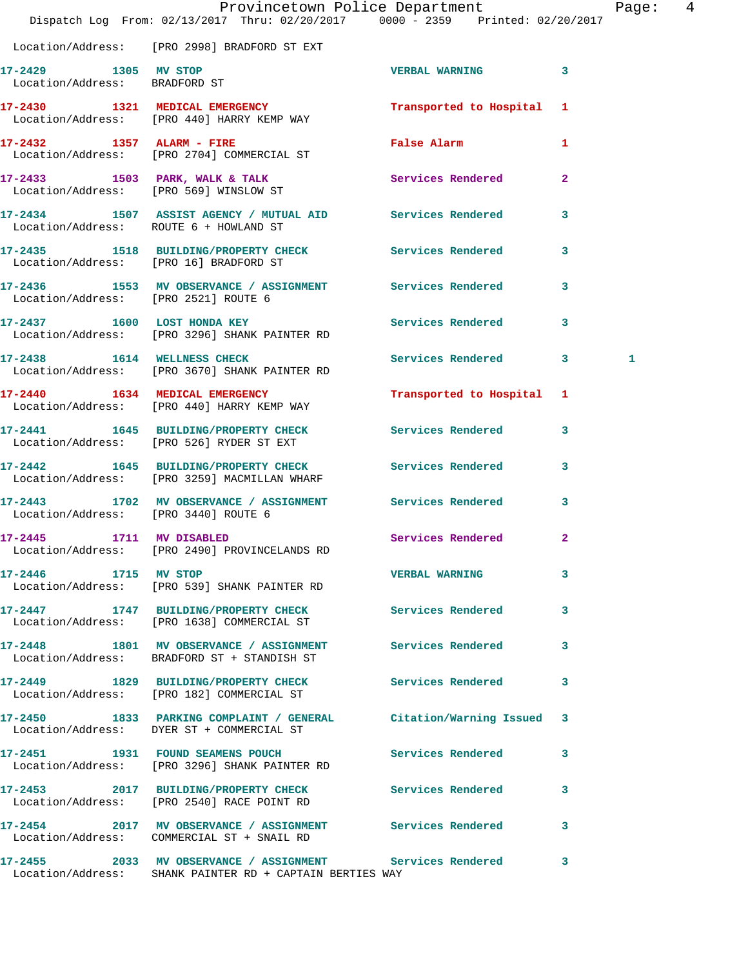|                                                       | Provincetown Police Department<br>Dispatch Log From: 02/13/2017 Thru: 02/20/2017 0000 - 2359 Printed: 02/20/2017        |                           |                | Page: 4 |  |
|-------------------------------------------------------|-------------------------------------------------------------------------------------------------------------------------|---------------------------|----------------|---------|--|
|                                                       | Location/Address: [PRO 2998] BRADFORD ST EXT                                                                            |                           |                |         |  |
| 17-2429 1305 MV STOP<br>Location/Address: BRADFORD ST |                                                                                                                         | VERBAL WARNING 3          |                |         |  |
|                                                       | 17-2430 1321 MEDICAL EMERGENCY Transported to Hospital 1<br>Location/Address: [PRO 440] HARRY KEMP WAY                  |                           |                |         |  |
|                                                       | 17-2432 1357 ALARM - FIRE<br>Location/Address: [PRO 2704] COMMERCIAL ST                                                 | <b>False Alarm</b>        | 1              |         |  |
|                                                       | 17-2433 1503 PARK, WALK & TALK 1999 Services Rendered<br>Location/Address: [PRO 569] WINSLOW ST                         |                           | $\overline{2}$ |         |  |
| Location/Address: ROUTE 6 + HOWLAND ST                | 17-2434 1507 ASSIST AGENCY / MUTUAL AID Services Rendered 3                                                             |                           |                |         |  |
| Location/Address: [PRO 16] BRADFORD ST                | 17-2435 1518 BUILDING/PROPERTY CHECK Services Rendered 3                                                                |                           |                |         |  |
| Location/Address: [PRO 2521] ROUTE 6                  | 17-2436 1553 MV OBSERVANCE / ASSIGNMENT Services Rendered 3                                                             |                           |                |         |  |
|                                                       | 17-2437 1600 LOST HONDA KEY<br>Location/Address: [PRO 3296] SHANK PAINTER RD                                            | Services Rendered 3       |                |         |  |
| 17-2438 1614 WELLNESS CHECK                           | Location/Address: [PRO 3670] SHANK PAINTER RD                                                                           | Services Rendered 3       |                | 1       |  |
|                                                       | 17-2440 1634 MEDICAL EMERGENCY<br>Location/Address: [PRO 440] HARRY KEMP WAY                                            | Transported to Hospital 1 |                |         |  |
|                                                       | 17-2441 1645 BUILDING/PROPERTY CHECK Services Rendered 3<br>Location/Address: [PRO 526] RYDER ST EXT                    |                           |                |         |  |
|                                                       | 17-2442 1645 BUILDING/PROPERTY CHECK Services Rendered<br>Location/Address: [PRO 3259] MACMILLAN WHARF                  |                           | $\mathbf{3}$   |         |  |
| Location/Address: [PRO 3440] ROUTE 6                  | 17-2443 1702 MV OBSERVANCE / ASSIGNMENT Services Rendered                                                               |                           | $\mathbf{3}$   |         |  |
| 17-2445 1711 MV DISABLED                              | Location/Address: [PRO 2490] PROVINCELANDS RD                                                                           | Services Rendered 2       |                |         |  |
| 17-2446 1715 MV STOP                                  | Location/Address: [PRO 539] SHANK PAINTER RD                                                                            | <b>VERBAL WARNING</b>     | 3              |         |  |
|                                                       | 17-2447 1747 BUILDING/PROPERTY CHECK Services Rendered 3<br>Location/Address: [PRO 1638] COMMERCIAL ST                  |                           |                |         |  |
|                                                       | 17-2448 1801 MV OBSERVANCE / ASSIGNMENT Services Rendered 3<br>Location/Address: BRADFORD ST + STANDISH ST              |                           |                |         |  |
|                                                       | 17-2449 1829 BUILDING/PROPERTY CHECK Services Rendered<br>Location/Address: [PRO 182] COMMERCIAL ST                     |                           | 3              |         |  |
|                                                       | 17-2450 1833 PARKING COMPLAINT / GENERAL Citation/Warning Issued 3<br>Location/Address: DYER ST + COMMERCIAL ST         |                           |                |         |  |
|                                                       | 17-2451 1931 FOUND SEAMENS POUCH<br>Location/Address: [PRO 3296] SHANK PAINTER RD                                       | Services Rendered         | 3              |         |  |
|                                                       | 17-2453 2017 BUILDING/PROPERTY CHECK Services Rendered 3<br>Location/Address: [PRO 2540] RACE POINT RD                  |                           |                |         |  |
|                                                       | 17-2454 2017 MV OBSERVANCE / ASSIGNMENT Services Rendered<br>Location/Address: COMMERCIAL ST + SNAIL RD                 |                           | 3              |         |  |
|                                                       | 17-2455 2033 MV OBSERVANCE / ASSIGNMENT Services Rendered 3<br>Location/Address: SHANK PAINTER RD + CAPTAIN BERTIES WAY |                           |                |         |  |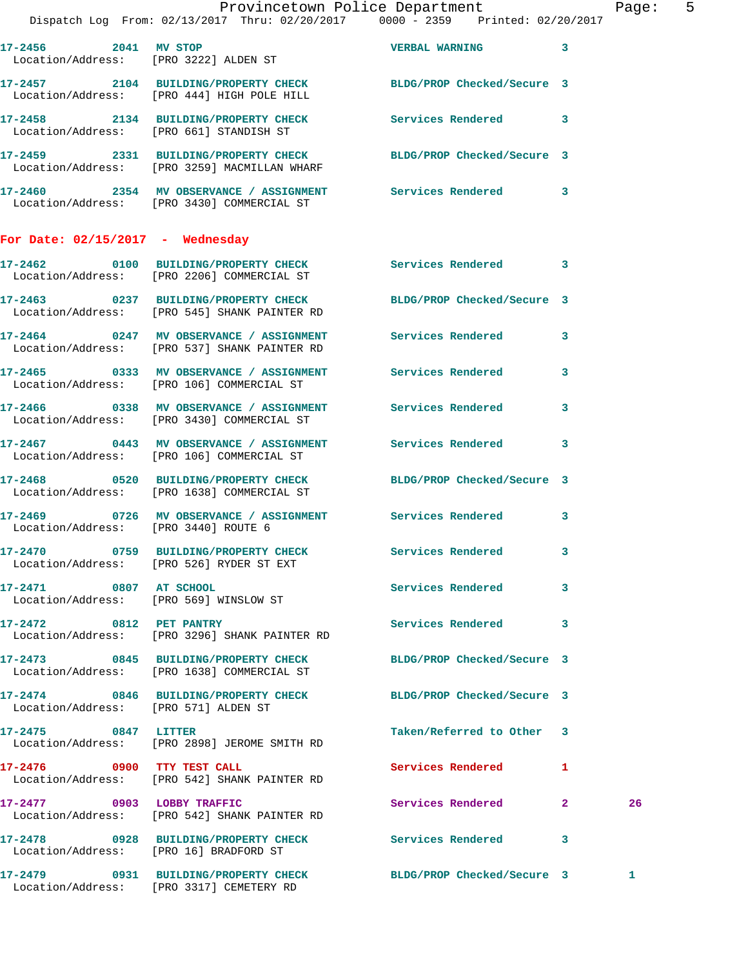|                                        | Provincetown Police Department<br>Dispatch Log From: 02/13/2017 Thru: 02/20/2017   0000 - 2359   Printed: 02/20/2017        |                            | Page: 5 |  |
|----------------------------------------|-----------------------------------------------------------------------------------------------------------------------------|----------------------------|---------|--|
|                                        | 17-2456 2041 MV STOP<br>Location/Address: [PRO 3222] ALDEN ST                                                               | <b>VERBAL WARNING</b> 3    |         |  |
|                                        | 17-2457 2104 BUILDING/PROPERTY CHECK BLDG/PROP Checked/Secure 3<br>Location/Address: [PRO 444] HIGH POLE HILL               |                            |         |  |
|                                        | 17-2458 2134 BUILDING/PROPERTY CHECK Services Rendered 3<br>Location/Address: [PRO 661] STANDISH ST                         |                            |         |  |
|                                        | 17-2459 2331 BUILDING/PROPERTY CHECK BLDG/PROP Checked/Secure 3<br>Location/Address: [PRO 3259] MACMILLAN WHARF             |                            |         |  |
|                                        | 17-2460 2354 MV OBSERVANCE / ASSIGNMENT Services Rendered 3<br>Location/Address: [PRO 3430] COMMERCIAL ST                   |                            |         |  |
| For Date: $02/15/2017$ - Wednesday     |                                                                                                                             |                            |         |  |
|                                        | 17-2462 0100 BUILDING/PROPERTY CHECK Services Rendered 3<br>Location/Address: [PRO 2206] COMMERCIAL ST                      |                            |         |  |
|                                        | 17-2463 0237 BUILDING/PROPERTY CHECK BLDG/PROP Checked/Secure 3<br>Location/Address: [PRO 545] SHANK PAINTER RD             |                            |         |  |
|                                        | 17-2464 0247 MV OBSERVANCE / ASSIGNMENT Services Rendered 3<br>Location/Address: [PRO 537] SHANK PAINTER RD                 |                            |         |  |
|                                        | 17-2465 0333 MV OBSERVANCE / ASSIGNMENT Services Rendered 3<br>Location/Address: [PRO 106] COMMERCIAL ST                    |                            |         |  |
|                                        | 17-2466 0338 MV OBSERVANCE / ASSIGNMENT Services Rendered 3<br>Location/Address: [PRO 3430] COMMERCIAL ST                   |                            |         |  |
|                                        | 17-2467      0443   MV OBSERVANCE / ASSIGNMENT       Services Rendered      3<br>Location/Address:   [PRO 106]COMMERCIAL ST |                            |         |  |
|                                        | 17-2468 0520 BUILDING/PROPERTY CHECK BLDG/PROP Checked/Secure 3<br>Location/Address: [PRO 1638] COMMERCIAL ST               |                            |         |  |
| Location/Address: [PRO 3440] ROUTE 6   | 17-2469 0726 MV OBSERVANCE / ASSIGNMENT Services Rendered 3                                                                 |                            |         |  |
|                                        | 17-2470 0759 BUILDING/PROPERTY CHECK<br>Location/Address: [PRO 526] RYDER ST EXT                                            | Services Rendered 3        |         |  |
| 17-2471 0807 AT SCHOOL                 | Location/Address: [PRO 569] WINSLOW ST                                                                                      | Services Rendered 3        |         |  |
| 17-2472 0812 PET PANTRY                | Location/Address: [PRO 3296] SHANK PAINTER RD                                                                               | Services Rendered 3        |         |  |
|                                        | 17-2473 0845 BUILDING/PROPERTY CHECK BLDG/PROP Checked/Secure 3<br>Location/Address: [PRO 1638] COMMERCIAL ST               |                            |         |  |
| Location/Address: [PRO 571] ALDEN ST   | 17-2474 0846 BUILDING/PROPERTY CHECK BLDG/PROP Checked/Secure 3                                                             |                            |         |  |
| 17-2475 0847 LITTER                    | Location/Address: [PRO 2898] JEROME SMITH RD                                                                                | Taken/Referred to Other 3  |         |  |
|                                        | 17-2476 0900 TTY TEST CALL<br>Location/Address: [PRO 542] SHANK PAINTER RD                                                  | Services Rendered 1        |         |  |
|                                        | 17-2477 0903 LOBBY TRAFFIC<br>Location/Address: [PRO 542] SHANK PAINTER RD                                                  | Services Rendered 2        | 26      |  |
| Location/Address: [PRO 16] BRADFORD ST | 17-2478 		 0928 BUILDING/PROPERTY CHECK Services Rendered 3                                                                 |                            |         |  |
|                                        | 17-2479 0931 BUILDING/PROPERTY CHECK<br>Location/Address: [PRO 3317] CEMETERY RD                                            | BLDG/PROP Checked/Secure 3 | 1       |  |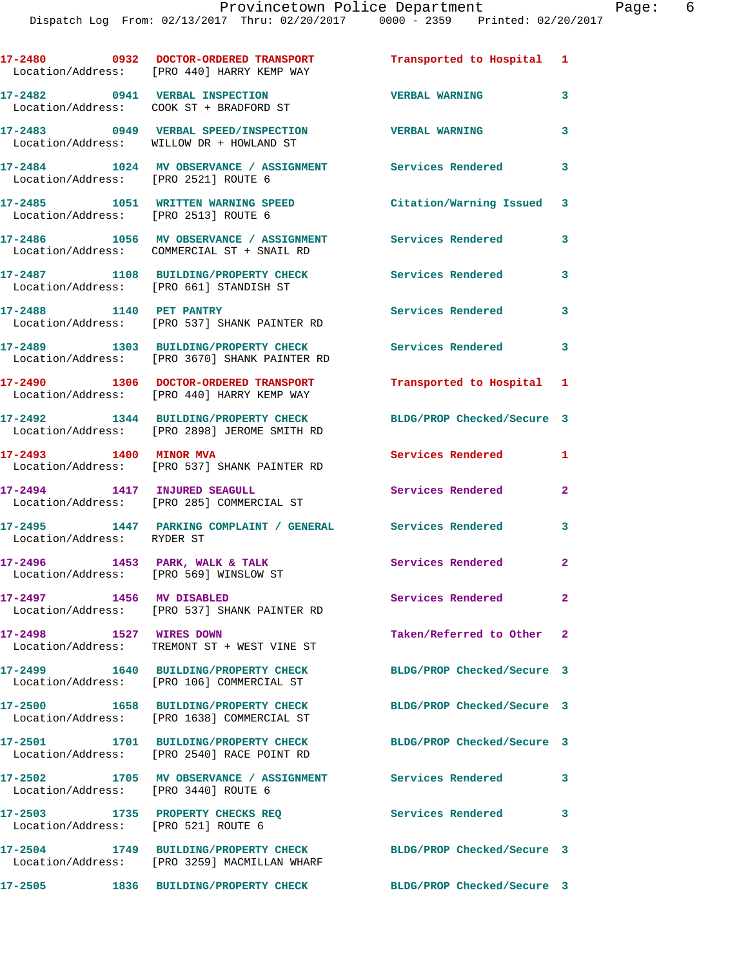|                                                                            | 17-2480 0932 DOCTOR-ORDERED TRANSPORT<br>Location/Address: [PRO 440] HARRY KEMP WAY   | Transported to Hospital 1  |                         |
|----------------------------------------------------------------------------|---------------------------------------------------------------------------------------|----------------------------|-------------------------|
|                                                                            | 17-2482 0941 VERBAL INSPECTION<br>Location/Address: COOK ST + BRADFORD ST             | <b>VERBAL WARNING</b>      | 3                       |
|                                                                            | 17-2483 0949 VERBAL SPEED/INSPECTION<br>Location/Address: WILLOW DR + HOWLAND ST      | <b>VERBAL WARNING</b>      | 3                       |
| Location/Address: [PRO 2521] ROUTE 6                                       | 17-2484 1024 MV OBSERVANCE / ASSIGNMENT Services Rendered                             |                            | 3                       |
|                                                                            | 17-2485 1051 WRITTEN WARNING SPEED<br>Location/Address: [PRO 2513] ROUTE 6            | Citation/Warning Issued 3  |                         |
|                                                                            | 17-2486 1056 MV OBSERVANCE / ASSIGNMENT<br>Location/Address: COMMERCIAL ST + SNAIL RD | <b>Services Rendered</b>   | 3                       |
|                                                                            | 17-2487 1108 BUILDING/PROPERTY CHECK<br>Location/Address: [PRO 661] STANDISH ST       | Services Rendered          | 3                       |
| 17-2488 1140 PET PANTRY                                                    | Location/Address: [PRO 537] SHANK PAINTER RD                                          | <b>Services Rendered</b>   | 3                       |
|                                                                            | 17-2489 1303 BUILDING/PROPERTY CHECK<br>Location/Address: [PRO 3670] SHANK PAINTER RD | <b>Services Rendered</b>   | $\overline{\mathbf{3}}$ |
|                                                                            | 17-2490 1306 DOCTOR-ORDERED TRANSPORT<br>Location/Address: [PRO 440] HARRY KEMP WAY   | Transported to Hospital 1  |                         |
|                                                                            | 17-2492 1344 BUILDING/PROPERTY CHECK<br>Location/Address: [PRO 2898] JEROME SMITH RD  | BLDG/PROP Checked/Secure 3 |                         |
| 17-2493 1400 MINOR MVA                                                     | Location/Address: [PRO 537] SHANK PAINTER RD                                          | Services Rendered          | 1                       |
| 17-2494 1417 INJURED SEAGULL                                               | Location/Address: [PRO 285] COMMERCIAL ST                                             | Services Rendered          | $\mathbf{2}$            |
| Location/Address: RYDER ST                                                 | 17-2495 1447 PARKING COMPLAINT / GENERAL Services Rendered                            |                            | 3                       |
| $17-2496$ 1453 PARK, WALK & TALK<br>Location/Address: [PRO 569] WINSLOW ST |                                                                                       | Services Rendered          | $\mathbf{2}$            |
| 17-2497 1456 MV DISABLED                                                   | Location/Address: [PRO 537] SHANK PAINTER RD                                          | Services Rendered          | $\mathbf{2}$            |
| 17-2498                                                                    | 1527 WIRES DOWN<br>Location/Address: TREMONT ST + WEST VINE ST                        | Taken/Referred to Other 2  |                         |
|                                                                            | 17-2499   1640 BUILDING/PROPERTY CHECK<br>Location/Address: [PRO 106] COMMERCIAL ST   | BLDG/PROP Checked/Secure 3 |                         |
|                                                                            | 17-2500 1658 BUILDING/PROPERTY CHECK<br>Location/Address: [PRO 1638] COMMERCIAL ST    | BLDG/PROP Checked/Secure 3 |                         |
|                                                                            | 17-2501 1701 BUILDING/PROPERTY CHECK<br>Location/Address: [PRO 2540] RACE POINT RD    | BLDG/PROP Checked/Secure 3 |                         |
| Location/Address: [PRO 3440] ROUTE 6                                       | 17-2502 1705 MV OBSERVANCE / ASSIGNMENT Services Rendered                             |                            | $\mathbf{3}$            |
| Location/Address: [PRO 521] ROUTE 6                                        | 17-2503 1735 PROPERTY CHECKS REQ                                                      | Services Rendered          | 3                       |
|                                                                            | 17-2504 1749 BUILDING/PROPERTY CHECK<br>Location/Address: [PRO 3259] MACMILLAN WHARF  | BLDG/PROP Checked/Secure 3 |                         |
| 17-2505                                                                    | 1836 BUILDING/PROPERTY CHECK                                                          | BLDG/PROP Checked/Secure 3 |                         |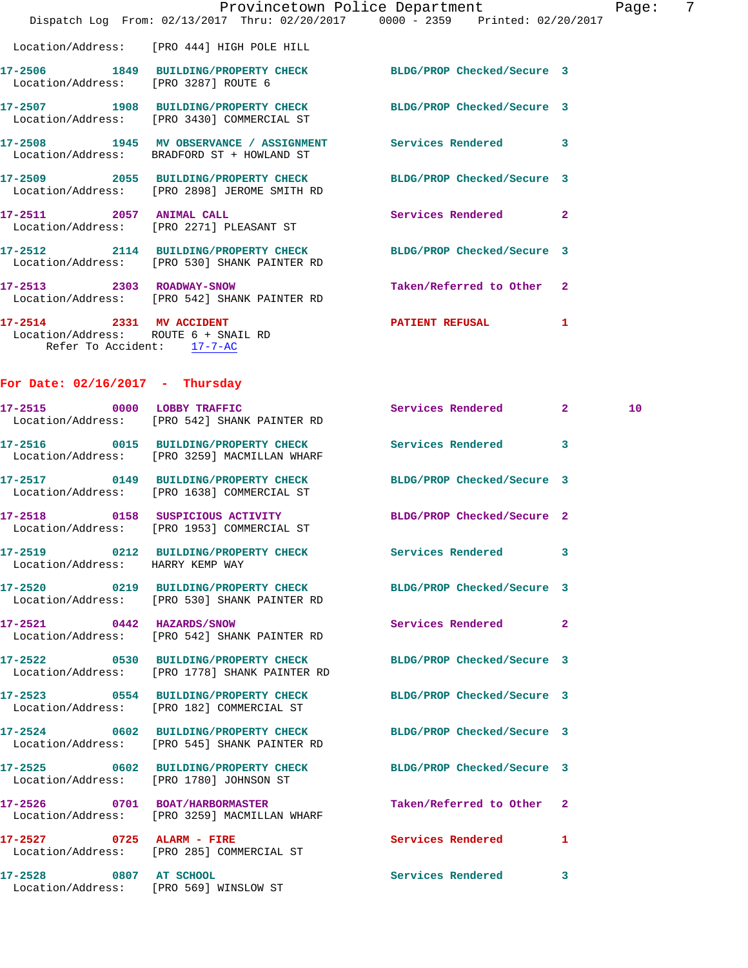| 17-2514 2331 MV ACCIDENT             |                                                                                                                 | <b>PATIENT REFUSAL</b>    | 1              |
|--------------------------------------|-----------------------------------------------------------------------------------------------------------------|---------------------------|----------------|
| 17-2513 2303 ROADWAY-SNOW            | Location/Address: [PRO 542] SHANK PAINTER RD                                                                    | Taken/Referred to Other 2 |                |
|                                      | 17-2512 2114 BUILDING/PROPERTY CHECK BLDG/PROP Checked/Secure 3<br>Location/Address: [PRO 530] SHANK PAINTER RD |                           |                |
| 17-2511 2057 ANIMAL CALL             | Location/Address: [PRO 2271] PLEASANT ST                                                                        | Services Rendered         | $\overline{2}$ |
|                                      | 17-2509 2055 BUILDING/PROPERTY CHECK BLDG/PROP Checked/Secure 3<br>Location/Address: [PRO 2898] JEROME SMITH RD |                           |                |
|                                      | 17-2508 1945 MV OBSERVANCE / ASSIGNMENT Services Rendered<br>Location/Address: BRADFORD ST + HOWLAND ST         |                           | 3              |
|                                      | 17-2507 1908 BUILDING/PROPERTY CHECK BLDG/PROP Checked/Secure 3<br>Location/Address: [PRO 3430] COMMERCIAL ST   |                           |                |
| Location/Address: [PRO 3287] ROUTE 6 | 17-2506 1849 BUILDING/PROPERTY CHECK BLDG/PROP Checked/Secure 3                                                 |                           |                |
|                                      | Location/Address: [PRO 444] HIGH POLE HILL                                                                      |                           |                |
|                                      | Dispatch Log From: 02/13/2017 Thru: 02/20/2017 0000 - 2359 Printed: 02/20/2017                                  |                           |                |
|                                      | Provincetown Police Department                                                                                  |                           |                |

Page: 7

 Location/Address: ROUTE 6 + SNAIL RD Refer To Accident: 17-7-AC

## **For Date: 02/16/2017 - Thursday**

|                                  | 17-2515 0000 LOBBY TRAFFIC<br>Location/Address: [PRO 542] SHANK PAINTER RD                                      | Services Rendered 2        |                         | 10 <sup>1</sup> |
|----------------------------------|-----------------------------------------------------------------------------------------------------------------|----------------------------|-------------------------|-----------------|
|                                  | 17-2516 0015 BUILDING/PROPERTY CHECK Services Rendered<br>Location/Address: [PRO 3259] MACMILLAN WHARF          |                            | $\overline{\mathbf{3}}$ |                 |
|                                  | 17-2517 0149 BUILDING/PROPERTY CHECK<br>Location/Address: [PRO 1638] COMMERCIAL ST                              | BLDG/PROP Checked/Secure 3 |                         |                 |
|                                  | 17-2518 0158 SUSPICIOUS ACTIVITY<br>Location/Address: [PRO 1953] COMMERCIAL ST                                  | BLDG/PROP Checked/Secure 2 |                         |                 |
| Location/Address: HARRY KEMP WAY | 17-2519 0212 BUILDING/PROPERTY CHECK                                                                            | Services Rendered 3        |                         |                 |
|                                  | 17-2520 0219 BUILDING/PROPERTY CHECK BLDG/PROP Checked/Secure 3<br>Location/Address: [PRO 530] SHANK PAINTER RD |                            |                         |                 |
|                                  | 17-2521 0442 HAZARDS/SNOW<br>Location/Address: [PRO 542] SHANK PAINTER RD                                       | <b>Services Rendered</b>   | $\overline{2}$          |                 |
|                                  | 17-2522 0530 BUILDING/PROPERTY CHECK<br>Location/Address: [PRO 1778] SHANK PAINTER RD                           | BLDG/PROP Checked/Secure 3 |                         |                 |
|                                  | 17-2523 0554 BUILDING/PROPERTY CHECK<br>Location/Address: [PRO 182] COMMERCIAL ST                               | BLDG/PROP Checked/Secure 3 |                         |                 |
|                                  | 17-2524 0602 BUILDING/PROPERTY CHECK<br>Location/Address: [PRO 545] SHANK PAINTER RD                            | BLDG/PROP Checked/Secure 3 |                         |                 |
|                                  | 17-2525 0602 BUILDING/PROPERTY CHECK<br>Location/Address: [PRO 1780] JOHNSON ST                                 | BLDG/PROP Checked/Secure 3 |                         |                 |
|                                  | 17-2526 0701 BOAT/HARBORMASTER<br>Location/Address: [PRO 3259] MACMILLAN WHARF                                  | Taken/Referred to Other 2  |                         |                 |
|                                  | 17-2527 0725 ALARM - FIRE<br>Location/Address: [PRO 285] COMMERCIAL ST                                          | <b>Services Rendered</b>   | 1                       |                 |
| 17-2528 0807 AT SCHOOL           |                                                                                                                 | <b>Services Rendered</b>   | 3                       |                 |

Location/Address: [PRO 569] WINSLOW ST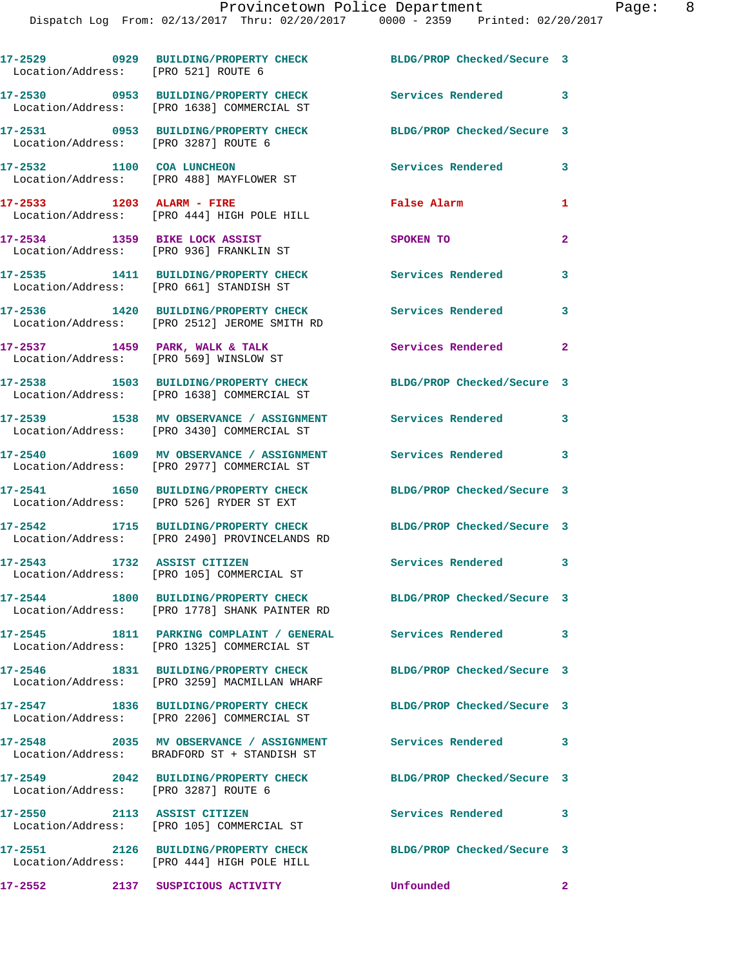| Location/Address: [PRO 521] ROUTE 6  | 17-2529 0929 BUILDING/PROPERTY CHECK                                                                       | BLDG/PROP Checked/Secure 3 |                |
|--------------------------------------|------------------------------------------------------------------------------------------------------------|----------------------------|----------------|
|                                      | 17-2530 0953 BUILDING/PROPERTY CHECK<br>Location/Address: [PRO 1638] COMMERCIAL ST                         | Services Rendered 3        |                |
| Location/Address: [PRO 3287] ROUTE 6 | 17-2531 0953 BUILDING/PROPERTY CHECK                                                                       | BLDG/PROP Checked/Secure 3 |                |
| 17-2532 1100 COA LUNCHEON            | Location/Address: [PRO 488] MAYFLOWER ST                                                                   | <b>Services Rendered</b>   | 3              |
|                                      | 17-2533 1203 ALARM - FIRE<br>Location/Address: [PRO 444] HIGH POLE HILL                                    | False Alarm                | 1              |
| 17-2534 1359 BIKE LOCK ASSIST        | Location/Address: [PRO 936] FRANKLIN ST                                                                    | <b>SPOKEN TO</b>           | $\overline{2}$ |
|                                      | 17-2535 1411 BUILDING/PROPERTY CHECK<br>Location/Address: [PRO 661] STANDISH ST                            | <b>Services Rendered</b>   | 3              |
|                                      | 17-2536 1420 BUILDING/PROPERTY CHECK<br>Location/Address: [PRO 2512] JEROME SMITH RD                       | Services Rendered          | 3              |
|                                      | $17-2537$ 1459 PARK, WALK & TALK<br>Location/Address: [PRO 569] WINSLOW ST                                 | <b>Services Rendered</b>   | $\mathbf{2}$   |
|                                      | 17-2538 1503 BUILDING/PROPERTY CHECK<br>Location/Address: [PRO 1638] COMMERCIAL ST                         | BLDG/PROP Checked/Secure 3 |                |
|                                      | 17-2539 1538 MV OBSERVANCE / ASSIGNMENT<br>Location/Address: [PRO 3430] COMMERCIAL ST                      | <b>Services Rendered</b>   | 3              |
|                                      | 17-2540 1609 MV OBSERVANCE / ASSIGNMENT<br>Location/Address: [PRO 2977] COMMERCIAL ST                      | Services Rendered          | 3              |
|                                      | 17-2541 1650 BUILDING/PROPERTY CHECK<br>Location/Address: [PRO 526] RYDER ST EXT                           | BLDG/PROP Checked/Secure 3 |                |
|                                      | 17-2542 1715 BUILDING/PROPERTY CHECK<br>Location/Address: [PRO 2490] PROVINCELANDS RD                      | BLDG/PROP Checked/Secure 3 |                |
|                                      | 17-2543 1732 ASSIST CITIZEN<br>Location/Address: [PRO 105] COMMERCIAL ST                                   | Services Rendered 3        |                |
|                                      | 17-2544 1800 BUILDING/PROPERTY CHECK<br>Location/Address: [PRO 1778] SHANK PAINTER RD                      | BLDG/PROP Checked/Secure 3 |                |
|                                      | 17-2545 1811 PARKING COMPLAINT / GENERAL Services Rendered 3<br>Location/Address: [PRO 1325] COMMERCIAL ST |                            |                |
|                                      | 17-2546 1831 BUILDING/PROPERTY CHECK<br>Location/Address: [PRO 3259] MACMILLAN WHARF                       | BLDG/PROP Checked/Secure 3 |                |
|                                      | 17-2547 1836 BUILDING/PROPERTY CHECK<br>Location/Address: [PRO 2206] COMMERCIAL ST                         | BLDG/PROP Checked/Secure 3 |                |
|                                      | 17-2548 2035 MV OBSERVANCE / ASSIGNMENT Services Rendered 3<br>Location/Address: BRADFORD ST + STANDISH ST |                            |                |
|                                      | 17-2549 2042 BUILDING/PROPERTY CHECK<br>Location/Address: [PRO 3287] ROUTE 6                               | BLDG/PROP Checked/Secure 3 |                |
| 17-2550 2113 ASSIST CITIZEN          | Location/Address: [PRO 105] COMMERCIAL ST                                                                  | <b>Services Rendered</b>   | 3              |
|                                      | 17-2551 2126 BUILDING/PROPERTY CHECK<br>Location/Address: [PRO 444] HIGH POLE HILL                         | BLDG/PROP Checked/Secure 3 |                |
|                                      | 17-2552 2137 SUSPICIOUS ACTIVITY                                                                           | Unfounded<br>$\sim$ 2      |                |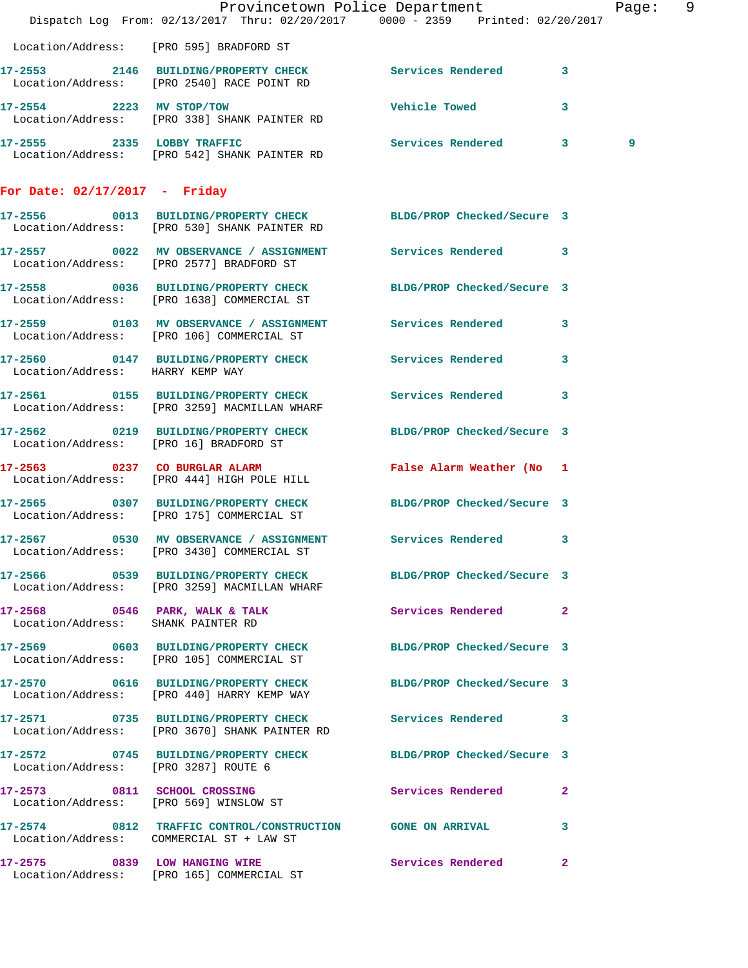|                                      | Dispatch Log From: 02/13/2017 Thru: 02/20/2017 0000 - 2359 Printed: 02/20/2017                                  | Provincetown Police Department |              | Page: 9 |  |
|--------------------------------------|-----------------------------------------------------------------------------------------------------------------|--------------------------------|--------------|---------|--|
|                                      | Location/Address: [PRO 595] BRADFORD ST                                                                         |                                |              |         |  |
|                                      | 17-2553 2146 BUILDING/PROPERTY CHECK Services Rendered 3<br>Location/Address: [PRO 2540] RACE POINT RD          |                                |              |         |  |
|                                      | 17-2554 2223 MV STOP/TOW<br>Location/Address: [PRO 338] SHANK PAINTER RD                                        | <b>Vehicle Towed</b>           | 3            |         |  |
|                                      | 17-2555 2335 LOBBY TRAFFIC Services Rendered 3<br>Location/Address: [PRO 542] SHANK PAINTER RD                  |                                |              | 9       |  |
| For Date: $02/17/2017$ - Friday      |                                                                                                                 |                                |              |         |  |
|                                      | 17-2556 0013 BUILDING/PROPERTY CHECK BLDG/PROP Checked/Secure 3<br>Location/Address: [PRO 530] SHANK PAINTER RD |                                |              |         |  |
|                                      | 17-2557 0022 MV OBSERVANCE / ASSIGNMENT Services Rendered 3<br>Location/Address: [PRO 2577] BRADFORD ST         |                                |              |         |  |
|                                      | 17-2558 0036 BUILDING/PROPERTY CHECK BLDG/PROP Checked/Secure 3<br>Location/Address: [PRO 1638] COMMERCIAL ST   |                                |              |         |  |
|                                      | 17-2559 0103 MV OBSERVANCE / ASSIGNMENT Services Rendered 3<br>Location/Address: [PRO 106] COMMERCIAL ST        |                                |              |         |  |
| Location/Address: HARRY KEMP WAY     | 17-2560 0147 BUILDING/PROPERTY CHECK Services Rendered 3                                                        |                                |              |         |  |
|                                      | 17-2561 0155 BUILDING/PROPERTY CHECK Services Rendered 3<br>Location/Address: [PRO 3259] MACMILLAN WHARF        |                                |              |         |  |
|                                      | 17-2562 0219 BUILDING/PROPERTY CHECK BLDG/PROP Checked/Secure 3<br>Location/Address: [PRO 16] BRADFORD ST       |                                |              |         |  |
|                                      | 17-2563 0237 CO BURGLAR ALARM <b>False Alarm Weather (No. 1</b><br>Location/Address: [PRO 444] HIGH POLE HILL   |                                |              |         |  |
|                                      | 17-2565 0307 BUILDING/PROPERTY CHECK BLDG/PROP Checked/Secure 3<br>Location/Address: [PRO 175] COMMERCIAL ST    |                                |              |         |  |
|                                      | 17-2567 0530 MV OBSERVANCE / ASSIGNMENT Services Rendered 3<br>Location/Address: [PRO 3430] COMMERCIAL ST       |                                |              |         |  |
|                                      | 17-2566 0539 BUILDING/PROPERTY CHECK BLDG/PROP Checked/Secure 3<br>Location/Address: [PRO 3259] MACMILLAN WHARF |                                |              |         |  |
| Location/Address: SHANK PAINTER RD   | 17-2568 0546 PARK, WALK & TALK 3 Services Rendered 2                                                            |                                |              |         |  |
|                                      | 17-2569 0603 BUILDING/PROPERTY CHECK BLDG/PROP Checked/Secure 3<br>Location/Address: [PRO 105] COMMERCIAL ST    |                                |              |         |  |
|                                      | 17-2570 0616 BUILDING/PROPERTY CHECK BLDG/PROP Checked/Secure 3<br>Location/Address: [PRO 440] HARRY KEMP WAY   |                                |              |         |  |
|                                      | 17-2571 0735 BUILDING/PROPERTY CHECK<br>Location/Address: [PRO 3670] SHANK PAINTER RD                           | Services Rendered 3            |              |         |  |
| Location/Address: [PRO 3287] ROUTE 6 | 17-2572 0745 BUILDING/PROPERTY CHECK BLDG/PROP Checked/Secure 3                                                 |                                |              |         |  |
|                                      | 17-2573 0811 SCHOOL CROSSING<br>Location/Address: [PRO 569] WINSLOW ST                                          | Services Rendered 2            |              |         |  |
|                                      | 17-2574 0812 TRAFFIC CONTROL/CONSTRUCTION GONE ON ARRIVAL 3<br>Location/Address: COMMERCIAL ST + LAW ST         |                                |              |         |  |
|                                      | 17-2575 0839 LOW HANGING WIRE Services Rendered<br>Location/Address: [PRO 165] COMMERCIAL ST                    |                                | $\mathbf{2}$ |         |  |
|                                      |                                                                                                                 |                                |              |         |  |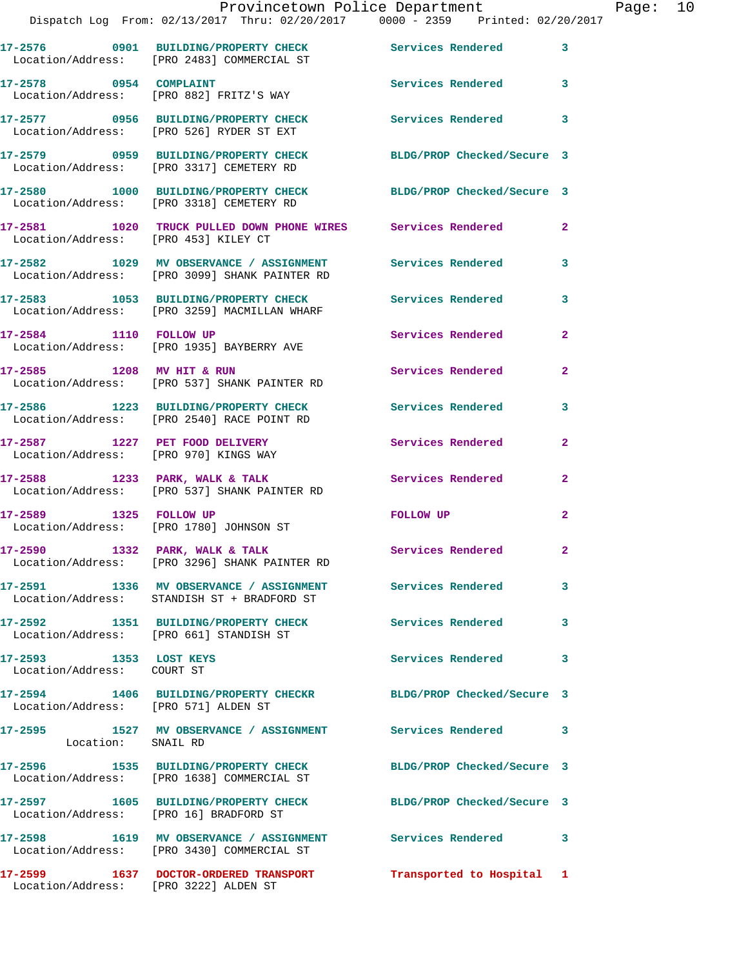|                                                      | Provincetown Police Department<br>Dispatch Log From: 02/13/2017 Thru: 02/20/2017 0000 - 2359 Printed: 02/20/2017     |                            |                |
|------------------------------------------------------|----------------------------------------------------------------------------------------------------------------------|----------------------------|----------------|
|                                                      |                                                                                                                      |                            |                |
|                                                      | 17-2576      0901   BUILDING/PROPERTY CHECK        Services Rendered<br>Location/Address:   [PRO 2483] COMMERCIAL ST |                            | 3              |
| 17-2578 0954 COMPLAINT                               | Location/Address: [PRO 882] FRITZ'S WAY                                                                              | Services Rendered          | 3              |
|                                                      | 17-2577 0956 BUILDING/PROPERTY CHECK<br>Location/Address: [PRO 526] RYDER ST EXT                                     | Services Rendered          | 3              |
|                                                      | 17-2579 0959 BUILDING/PROPERTY CHECK<br>Location/Address: [PRO 3317] CEMETERY RD                                     | BLDG/PROP Checked/Secure 3 |                |
|                                                      | 17-2580 1000 BUILDING/PROPERTY CHECK<br>Location/Address: [PRO 3318] CEMETERY RD                                     | BLDG/PROP Checked/Secure 3 |                |
| Location/Address: [PRO 453] KILEY CT                 | 17-2581 1020 TRUCK PULLED DOWN PHONE WIRES Services Rendered                                                         |                            | $\mathbf{2}$   |
|                                                      | 17-2582 1029 MV OBSERVANCE / ASSIGNMENT Services Rendered<br>Location/Address: [PRO 3099] SHANK PAINTER RD           |                            | 3              |
|                                                      | 17-2583 1053 BUILDING/PROPERTY CHECK Services Rendered<br>Location/Address: [PRO 3259] MACMILLAN WHARF               |                            | 3              |
| 17-2584 1110 FOLLOW UP                               | Location/Address: [PRO 1935] BAYBERRY AVE                                                                            | Services Rendered          | $\overline{a}$ |
| 17-2585 1208 MV HIT & RUN                            | Location/Address: [PRO 537] SHANK PAINTER RD                                                                         | Services Rendered          | $\mathbf{2}$   |
|                                                      | 17-2586 1223 BUILDING/PROPERTY CHECK Services Rendered<br>Location/Address: [PRO 2540] RACE POINT RD                 |                            | 3              |
| Location/Address: [PRO 970] KINGS WAY                | 17-2587 1227 PET FOOD DELIVERY                                                                                       | Services Rendered          | $\mathbf{2}$   |
|                                                      | $17-2588$ 1233 PARK, WALK & TALK<br>Location/Address: [PRO 537] SHANK PAINTER RD                                     | <b>Services Rendered</b>   | $\mathbf{2}$   |
|                                                      | 17-2589 1325 FOLLOW UP<br>Location/Address: [PRO 1780] JOHNSON ST                                                    | <b>FOLLOW UP</b>           | $\overline{a}$ |
|                                                      | 17-2590 1332 PARK, WALK & TALK<br>Location/Address: [PRO 3296] SHANK PAINTER RD                                      | Services Rendered          |                |
|                                                      | 17-2591 1336 MV OBSERVANCE / ASSIGNMENT<br>Location/Address: STANDISH ST + BRADFORD ST                               | <b>Services Rendered</b>   | 3              |
|                                                      | 17-2592 1351 BUILDING/PROPERTY CHECK<br>Location/Address: [PRO 661] STANDISH ST                                      | <b>Services Rendered</b>   | 3              |
| 17-2593 1353 LOST KEYS<br>Location/Address: COURT ST |                                                                                                                      | <b>Services Rendered</b>   | 3              |
| Location/Address: [PRO 571] ALDEN ST                 | 17-2594 1406 BUILDING/PROPERTY CHECKR BLDG/PROP Checked/Secure 3                                                     |                            |                |
| Location: SNAIL RD                                   | 17-2595 1527 MV OBSERVANCE / ASSIGNMENT Services Rendered                                                            |                            | 3              |
|                                                      | 17-2596 1535 BUILDING/PROPERTY CHECK<br>Location/Address: [PRO 1638] COMMERCIAL ST                                   | BLDG/PROP Checked/Secure 3 |                |
| 17-2597                                              | 1605 BUILDING/PROPERTY CHECK                                                                                         | BLDG/PROP Checked/Secure 3 |                |

**17-2598 1619 MV OBSERVANCE / ASSIGNMENT Services Rendered 3**  Location/Address: [PRO 3430] COMMERCIAL ST

**17-2599 1637 DOCTOR-ORDERED TRANSPORT Transported to Hospital 1**  Location/Address: [PRO 3222] ALDEN ST

Location/Address: [PRO 16] BRADFORD ST

Page: 10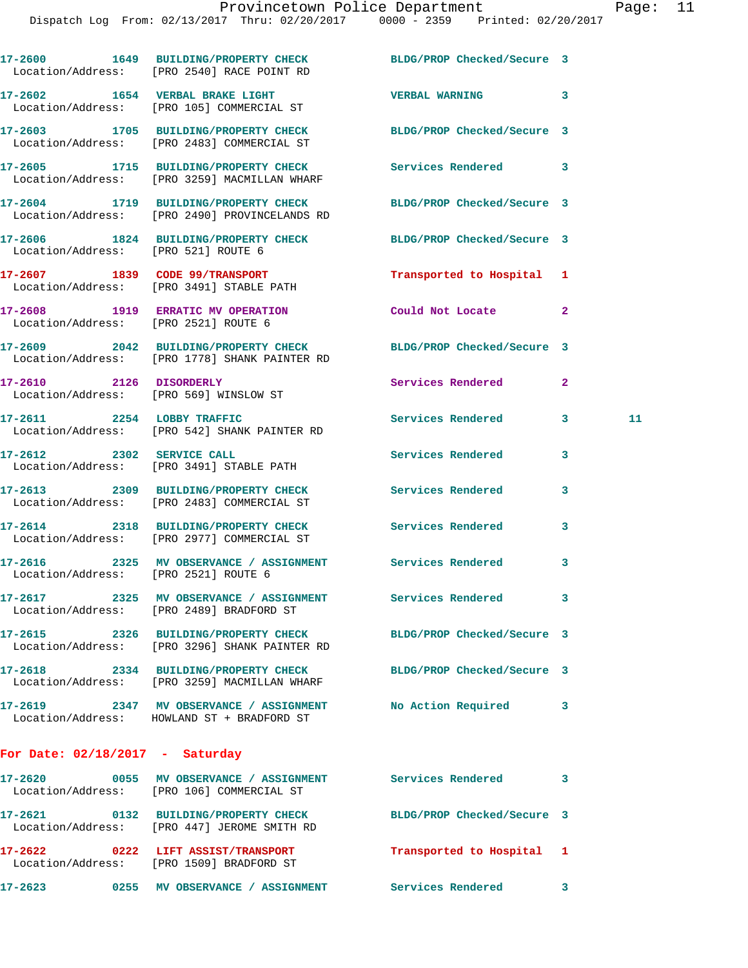|                                      | 17-2600 1649 BUILDING/PROPERTY CHECK BLDG/PROP Checked/Secure 3<br>Location/Address: [PRO 2540] RACE POINT RD        |                            |              |    |
|--------------------------------------|----------------------------------------------------------------------------------------------------------------------|----------------------------|--------------|----|
|                                      | 17-2602 1654 VERBAL BRAKE LIGHT<br>Location/Address: [PRO 105] COMMERCIAL ST                                         | VERBAL WARNING 3           |              |    |
|                                      | 17-2603 1705 BUILDING/PROPERTY CHECK BLDG/PROP Checked/Secure 3<br>Location/Address: [PRO 2483] COMMERCIAL ST        |                            |              |    |
|                                      | 17-2605 1715 BUILDING/PROPERTY CHECK Services Rendered 3<br>Location/Address: [PRO 3259] MACMILLAN WHARF             |                            |              |    |
|                                      | 17-2604 1719 BUILDING/PROPERTY CHECK BLDG/PROP Checked/Secure 3<br>Location/Address: [PRO 2490] PROVINCELANDS RD     |                            |              |    |
| Location/Address: [PRO 521] ROUTE 6  | 17-2606 1824 BUILDING/PROPERTY CHECK BLDG/PROP Checked/Secure 3                                                      |                            |              |    |
|                                      | 17-2607 1839 CODE 99/TRANSPORT<br>Location/Address: [PRO 3491] STABLE PATH                                           | Transported to Hospital 1  |              |    |
|                                      | 17-2608 1919 ERRATIC MV OPERATION<br>Location/Address: [PRO 2521] ROUTE 6                                            | Could Not Locate 2         |              |    |
|                                      | 17-2609 2042 BUILDING/PROPERTY CHECK BLDG/PROP Checked/Secure 3<br>Location/Address: [PRO 1778] SHANK PAINTER RD     |                            |              |    |
| 17-2610 2126 DISORDERLY              | Location/Address: [PRO 569] WINSLOW ST                                                                               | Services Rendered          | $\mathbf{2}$ |    |
|                                      | 17-2611 2254 LOBBY TRAFFIC<br>Location/Address: [PRO 542] SHANK PAINTER RD                                           | Services Rendered          | 3            | 11 |
|                                      | 17-2612 2302 SERVICE CALL<br>Location/Address: [PRO 3491] STABLE PATH                                                | Services Rendered          | 3            |    |
|                                      | 17-2613 2309 BUILDING/PROPERTY CHECK Services Rendered<br>Location/Address: [PRO 2483] COMMERCIAL ST                 |                            | 3            |    |
|                                      | 17-2614 2318 BUILDING/PROPERTY CHECK Services Rendered<br>Location/Address: [PRO 2977] COMMERCIAL ST                 |                            | 3            |    |
| Location/Address: [PRO 2521] ROUTE 6 | 17-2616 2325 MV OBSERVANCE / ASSIGNMENT Services Rendered                                                            |                            | 3            |    |
|                                      | 17-2617 2325 MV OBSERVANCE / ASSIGNMENT<br>Location/Address: [PRO 2489] BRADFORD ST                                  | Services Rendered          |              |    |
|                                      | 17-2615 2326 BUILDING/PROPERTY CHECK BLDG/PROP Checked/Secure 3<br>Location/Address: [PRO 3296] SHANK PAINTER RD     |                            |              |    |
|                                      | 17-2618 2334 BUILDING/PROPERTY CHECK<br>Location/Address: [PRO 3259] MACMILLAN WHARF                                 | BLDG/PROP Checked/Secure 3 |              |    |
|                                      | 17-2619 2347 MV OBSERVANCE / ASSIGNMENT No Action Required<br>Location/Address: HOWLAND ST + BRADFORD ST             |                            | 3            |    |
| For Date: $02/18/2017$ - Saturday    |                                                                                                                      |                            |              |    |
|                                      | 17-2620       0055   MV OBSERVANCE / ASSIGNMENT       Services Rendered<br>Location/Address: [PRO 106] COMMERCIAL ST |                            | 3            |    |
|                                      | 17-2621 0132 BUILDING/PROPERTY CHECK BLDG/PROP Checked/Secure 3<br>Location/Address: [PRO 447] JEROME SMITH RD       |                            |              |    |
|                                      | 17-2622 0222 LIFT ASSIST/TRANSPORT<br>Location/Address: [PRO 1509] BRADFORD ST                                       | Transported to Hospital 1  |              |    |

**17-2623 0255 MV OBSERVANCE / ASSIGNMENT Services Rendered 3**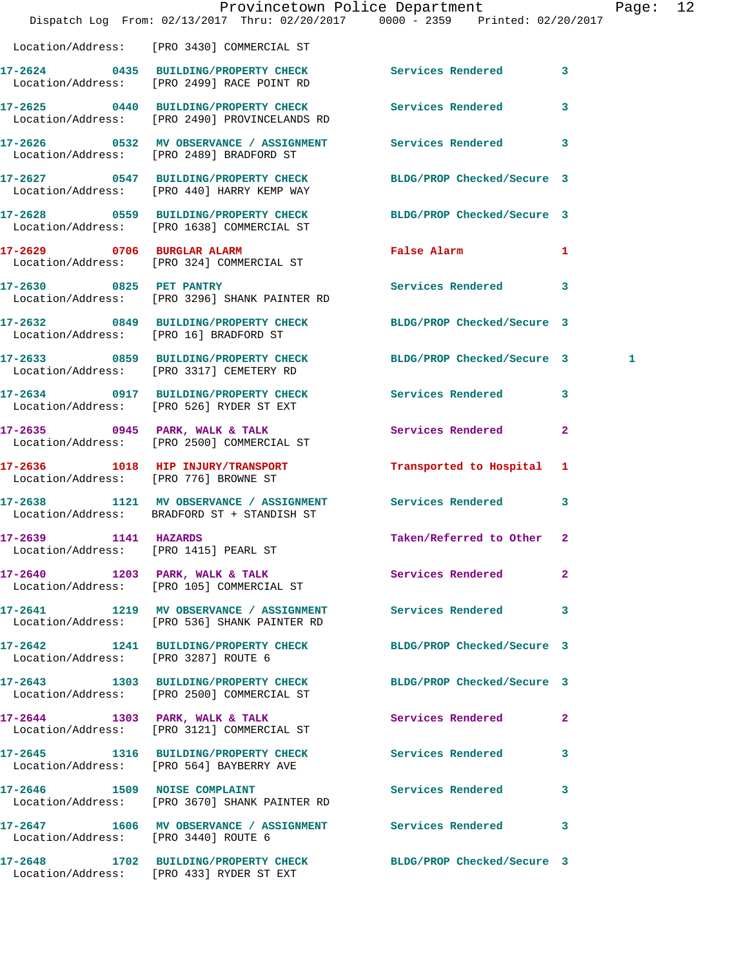|                                        | Dispatch Log From: 02/13/2017 Thru: 02/20/2017 0000 - 2359 Printed: 02/20/2017                                | Provincetown Police Department              |              | Page: | 12 |
|----------------------------------------|---------------------------------------------------------------------------------------------------------------|---------------------------------------------|--------------|-------|----|
|                                        | Location/Address: [PRO 3430] COMMERCIAL ST                                                                    |                                             |              |       |    |
|                                        | 17-2624 0435 BUILDING/PROPERTY CHECK Services Rendered 3<br>Location/Address: [PRO 2499] RACE POINT RD        |                                             |              |       |    |
|                                        | 17-2625 0440 BUILDING/PROPERTY CHECK<br>Location/Address: [PRO 2490] PROVINCELANDS RD                         | Services Rendered                           | 3            |       |    |
|                                        | 17-2626 0532 MV OBSERVANCE / ASSIGNMENT Services Rendered<br>Location/Address: [PRO 2489] BRADFORD ST         |                                             | $\mathbf{3}$ |       |    |
|                                        | 17-2627 0547 BUILDING/PROPERTY CHECK<br>Location/Address: [PRO 440] HARRY KEMP WAY                            | BLDG/PROP Checked/Secure 3                  |              |       |    |
|                                        | 17-2628 0559 BUILDING/PROPERTY CHECK BLDG/PROP Checked/Secure 3<br>Location/Address: [PRO 1638] COMMERCIAL ST |                                             |              |       |    |
|                                        | 17-2629 0706 BURGLAR ALARM<br>Location/Address: [PRO 324] COMMERCIAL ST                                       | False Alarm <b>Exercise Service Service</b> | $\mathbf{1}$ |       |    |
| 17-2630 0825 PET PANTRY                | Location/Address: [PRO 3296] SHANK PAINTER RD                                                                 | Services Rendered 3                         |              |       |    |
| Location/Address: [PRO 16] BRADFORD ST | 17-2632 0849 BUILDING/PROPERTY CHECK BLDG/PROP Checked/Secure 3                                               |                                             |              |       |    |
|                                        | 17-2633 0859 BUILDING/PROPERTY CHECK BLDG/PROP Checked/Secure 3<br>Location/Address: [PRO 3317] CEMETERY RD   |                                             |              | 1     |    |
|                                        | 17-2634 0917 BUILDING/PROPERTY CHECK Services Rendered 3<br>Location/Address: [PRO 526] RYDER ST EXT          |                                             |              |       |    |
|                                        | 17-2635 0945 PARK, WALK & TALK<br>Location/Address: [PRO 2500] COMMERCIAL ST                                  | Services Rendered                           | $\mathbf{2}$ |       |    |
|                                        | 17-2636 1018 HIP INJURY/TRANSPORT<br>Location/Address: [PRO 776] BROWNE ST                                    | Transported to Hospital 1                   |              |       |    |
|                                        | 17-2638 1121 MV OBSERVANCE / ASSIGNMENT Services Rendered<br>Location/Address: BRADFORD ST + STANDISH ST      |                                             | 3            |       |    |
| 17-2639 1141 HAZARDS                   | Location/Address: [PRO 1415] PEARL ST                                                                         | Taken/Referred to Other 2                   |              |       |    |
|                                        | 17-2640 1203 PARK, WALK & TALK Services Rendered<br>Location/Address: [PRO 105] COMMERCIAL ST                 |                                             | $\mathbf{2}$ |       |    |
|                                        | 17-2641 1219 MV OBSERVANCE / ASSIGNMENT Services Rendered<br>Location/Address: [PRO 536] SHANK PAINTER RD     |                                             | 3            |       |    |
| Location/Address: [PRO 3287] ROUTE 6   | 17-2642 1241 BUILDING/PROPERTY CHECK BLDG/PROP Checked/Secure 3                                               |                                             |              |       |    |
|                                        | 17-2643 1303 BUILDING/PROPERTY CHECK<br>Location/Address: [PRO 2500] COMMERCIAL ST                            | BLDG/PROP Checked/Secure 3                  |              |       |    |
|                                        | 17-2644 1303 PARK, WALK & TALK Services Rendered<br>Location/Address: [PRO 3121] COMMERCIAL ST                |                                             | $\mathbf{2}$ |       |    |
|                                        | 17-2645 1316 BUILDING/PROPERTY CHECK Services Rendered<br>Location/Address: [PRO 564] BAYBERRY AVE            |                                             | 3            |       |    |
|                                        | 17-2646 1509 NOISE COMPLAINT<br>Location/Address: [PRO 3670] SHANK PAINTER RD                                 | Services Rendered                           | 3            |       |    |
| Location/Address: [PRO 3440] ROUTE 6   | 17-2647 1606 MV OBSERVANCE / ASSIGNMENT Services Rendered                                                     |                                             | 3            |       |    |
|                                        | 17-2648 1702 BUILDING/PROPERTY CHECK BLDG/PROP Checked/Secure 3<br>Location/Address: [PRO 433] RYDER ST EXT   |                                             |              |       |    |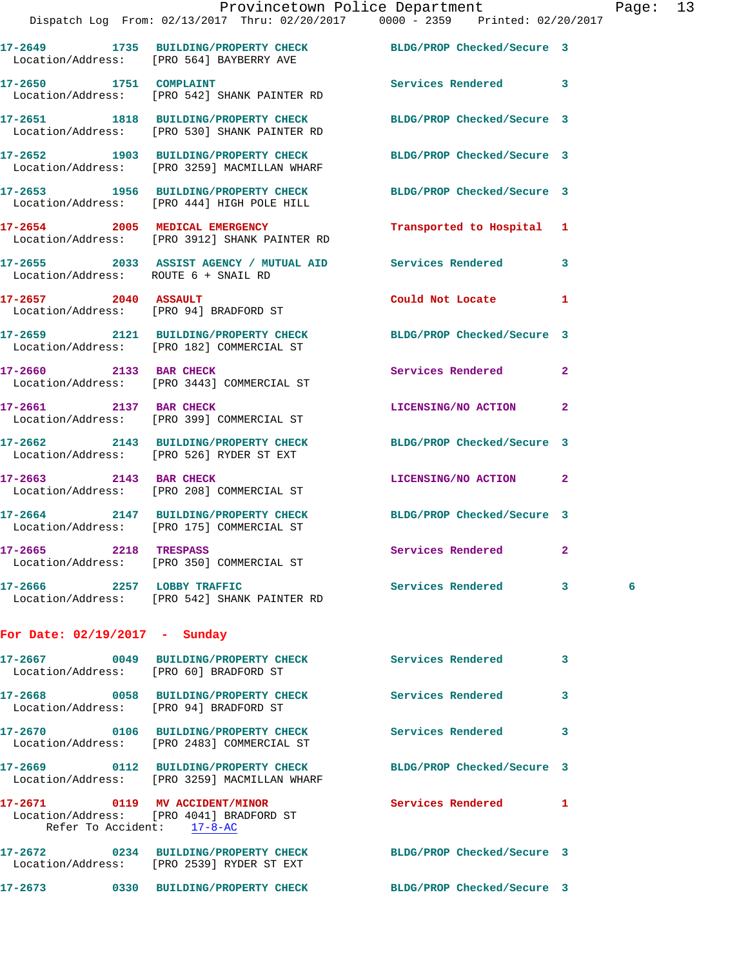## Provincetown Police Department Page: 13

|                                                                                                                                                                                                                                                                                                                                                                                                                                                                                                                                                                                                                                                                                                                                                                                                                                                                                                                                                                                                                                                                                                  | 3              |                                                                                                                                                                                                                                                                                                                                                                                                                                                                                                                                                                                                                                                                  |
|--------------------------------------------------------------------------------------------------------------------------------------------------------------------------------------------------------------------------------------------------------------------------------------------------------------------------------------------------------------------------------------------------------------------------------------------------------------------------------------------------------------------------------------------------------------------------------------------------------------------------------------------------------------------------------------------------------------------------------------------------------------------------------------------------------------------------------------------------------------------------------------------------------------------------------------------------------------------------------------------------------------------------------------------------------------------------------------------------|----------------|------------------------------------------------------------------------------------------------------------------------------------------------------------------------------------------------------------------------------------------------------------------------------------------------------------------------------------------------------------------------------------------------------------------------------------------------------------------------------------------------------------------------------------------------------------------------------------------------------------------------------------------------------------------|
|                                                                                                                                                                                                                                                                                                                                                                                                                                                                                                                                                                                                                                                                                                                                                                                                                                                                                                                                                                                                                                                                                                  | 1              |                                                                                                                                                                                                                                                                                                                                                                                                                                                                                                                                                                                                                                                                  |
|                                                                                                                                                                                                                                                                                                                                                                                                                                                                                                                                                                                                                                                                                                                                                                                                                                                                                                                                                                                                                                                                                                  |                |                                                                                                                                                                                                                                                                                                                                                                                                                                                                                                                                                                                                                                                                  |
|                                                                                                                                                                                                                                                                                                                                                                                                                                                                                                                                                                                                                                                                                                                                                                                                                                                                                                                                                                                                                                                                                                  | $\overline{2}$ |                                                                                                                                                                                                                                                                                                                                                                                                                                                                                                                                                                                                                                                                  |
|                                                                                                                                                                                                                                                                                                                                                                                                                                                                                                                                                                                                                                                                                                                                                                                                                                                                                                                                                                                                                                                                                                  | $\overline{2}$ |                                                                                                                                                                                                                                                                                                                                                                                                                                                                                                                                                                                                                                                                  |
|                                                                                                                                                                                                                                                                                                                                                                                                                                                                                                                                                                                                                                                                                                                                                                                                                                                                                                                                                                                                                                                                                                  |                |                                                                                                                                                                                                                                                                                                                                                                                                                                                                                                                                                                                                                                                                  |
|                                                                                                                                                                                                                                                                                                                                                                                                                                                                                                                                                                                                                                                                                                                                                                                                                                                                                                                                                                                                                                                                                                  | $\mathbf{2}$   |                                                                                                                                                                                                                                                                                                                                                                                                                                                                                                                                                                                                                                                                  |
|                                                                                                                                                                                                                                                                                                                                                                                                                                                                                                                                                                                                                                                                                                                                                                                                                                                                                                                                                                                                                                                                                                  |                |                                                                                                                                                                                                                                                                                                                                                                                                                                                                                                                                                                                                                                                                  |
|                                                                                                                                                                                                                                                                                                                                                                                                                                                                                                                                                                                                                                                                                                                                                                                                                                                                                                                                                                                                                                                                                                  | $\overline{2}$ |                                                                                                                                                                                                                                                                                                                                                                                                                                                                                                                                                                                                                                                                  |
|                                                                                                                                                                                                                                                                                                                                                                                                                                                                                                                                                                                                                                                                                                                                                                                                                                                                                                                                                                                                                                                                                                  | 3 <sup>7</sup> | $6^{\circ}$                                                                                                                                                                                                                                                                                                                                                                                                                                                                                                                                                                                                                                                      |
|                                                                                                                                                                                                                                                                                                                                                                                                                                                                                                                                                                                                                                                                                                                                                                                                                                                                                                                                                                                                                                                                                                  |                |                                                                                                                                                                                                                                                                                                                                                                                                                                                                                                                                                                                                                                                                  |
| Location/Address: [PRO 564] BAYBERRY AVE<br>17-2650 1751 COMPLAINT<br>Location/Address: [PRO 542] SHANK PAINTER RD<br>Location/Address: [PRO 530] SHANK PAINTER RD<br>17-2652 1903 BUILDING/PROPERTY CHECK<br>Location/Address: [PRO 3259] MACMILLAN WHARF<br>Location/Address: [PRO 444] HIGH POLE HILL<br>17-2654 2005 MEDICAL EMERGENCY<br>Location/Address: [PRO 3912] SHANK PAINTER RD<br>Location/Address: ROUTE 6 + SNAIL RD<br>17-2657 2040 ASSAULT<br>Location/Address: [PRO 94] BRADFORD ST<br>Location/Address: [PRO 182] COMMERCIAL ST<br>17-2660 2133 BAR CHECK<br>Location/Address: [PRO 3443] COMMERCIAL ST<br>17-2661 2137 BAR CHECK<br>Location/Address: [PRO 399] COMMERCIAL ST<br>17-2662 2143 BUILDING/PROPERTY CHECK<br>Location/Address: [PRO 526] RYDER ST EXT<br>17-2663 2143 BAR CHECK<br>Location/Address: [PRO 208] COMMERCIAL ST<br>Location/Address: [PRO 175] COMMERCIAL ST<br>17-2665 2218 TRESPASS<br>Location/Address: [PRO 350] COMMERCIAL ST<br>17-2666 2257 LOBBY TRAFFIC<br>Location/Address: [PRO 542] SHANK PAINTER RD<br>For Date: $02/19/2017$ - Sunday |                | 17-2649 1735 BUILDING/PROPERTY CHECK BLDG/PROP Checked/Secure 3<br>Services Rendered 3<br>17-2651 1818 BUILDING/PROPERTY CHECK BLDG/PROP Checked/Secure 3<br>BLDG/PROP Checked/Secure 3<br>17-2653 1956 BUILDING/PROPERTY CHECK BLDG/PROP Checked/Secure 3<br>Transported to Hospital 1<br>17-2655 2033 ASSIST AGENCY / MUTUAL AID Services Rendered<br>Could Not Locate<br>17-2659 2121 BUILDING/PROPERTY CHECK BLDG/PROP Checked/Secure 3<br><b>Services Rendered</b><br>LICENSING/NO ACTION<br>BLDG/PROP Checked/Secure 3<br>LICENSING/NO ACTION<br>17-2664 2147 BUILDING/PROPERTY CHECK BLDG/PROP Checked/Secure 3<br>Services Rendered<br>Services Rendered |

|             |             | 17-2667  0049 BUILDING/PROPERTY CHECK<br>Location/Address: [PRO 60] BRADFORD ST                          | <b>Services Rendered</b>   | $\mathbf{3}$ |
|-------------|-------------|----------------------------------------------------------------------------------------------------------|----------------------------|--------------|
|             |             | 17-2668 0058 BUILDING/PROPERTY CHECK<br>Location/Address: [PRO 94] BRADFORD ST                           | Services Rendered          | 3            |
|             |             | Location/Address: [PRO 2483] COMMERCIAL ST                                                               | Services Rendered          | 3            |
|             |             | Location/Address: [PRO 3259] MACMILLAN WHARF                                                             | BLDG/PROP Checked/Secure 3 |              |
|             |             | 17-2671 0119 MV ACCIDENT/MINOR<br>Location/Address: [PRO 4041] BRADFORD ST<br>Refer To Accident: 17-8-AC | Services Rendered          | 1.           |
|             |             | 17-2672 0234 BUILDING/PROPERTY CHECK<br>Location/Address: [PRO 2539] RYDER ST EXT                        | BLDG/PROP Checked/Secure 3 |              |
| $17 - 2673$ | $\sim$ 0330 | <b>BUILDING/PROPERTY CHECK</b>                                                                           | BLDG/PROP Checked/Secure 3 |              |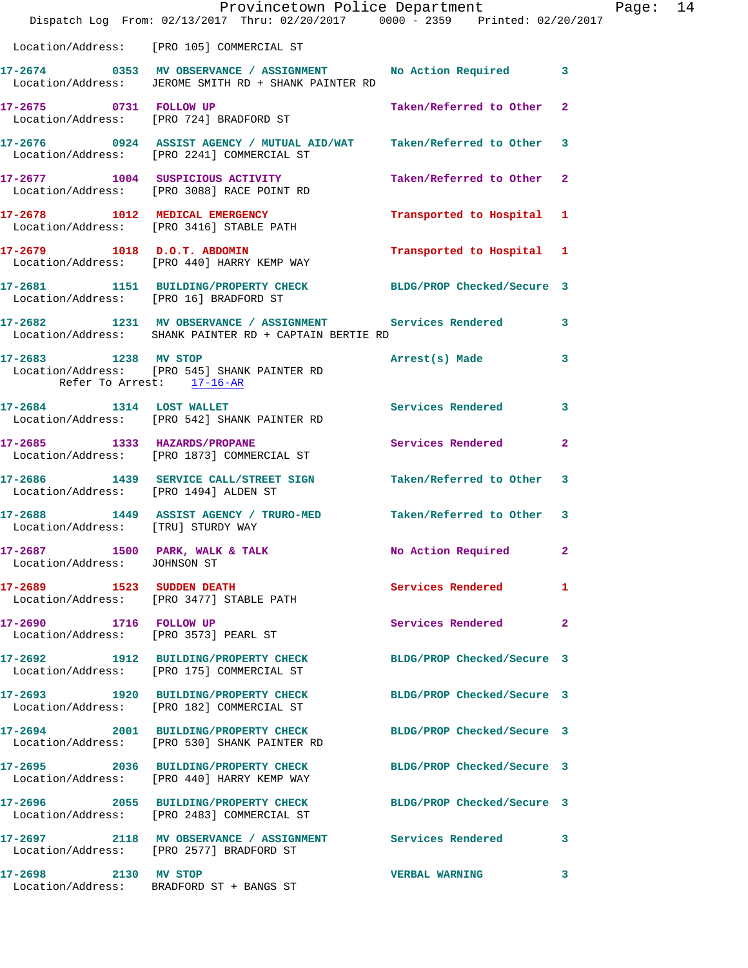|                                                                 | Provincetown Police Department<br>Dispatch Log From: 02/13/2017 Thru: 02/20/2017 0000 - 2359 Printed: 02/20/2017      |                            |              | Page: 14 |  |
|-----------------------------------------------------------------|-----------------------------------------------------------------------------------------------------------------------|----------------------------|--------------|----------|--|
|                                                                 | Location/Address: [PRO 105] COMMERCIAL ST                                                                             |                            |              |          |  |
|                                                                 | 17-2674 0353 MV OBSERVANCE / ASSIGNMENT No Action Required 3<br>Location/Address: JEROME SMITH RD + SHANK PAINTER RD  |                            |              |          |  |
|                                                                 | 17-2675 0731 FOLLOW UP<br>Location/Address: [PRO 724] BRADFORD ST                                                     | Taken/Referred to Other 2  |              |          |  |
|                                                                 | 17-2676 0924 ASSIST AGENCY / MUTUAL AID/WAT Taken/Referred to Other 3<br>Location/Address: [PRO 2241] COMMERCIAL ST   |                            |              |          |  |
|                                                                 | 17-2677 1004 SUSPICIOUS ACTIVITY<br>Location/Address: [PRO 3088] RACE POINT RD                                        | Taken/Referred to Other 2  |              |          |  |
|                                                                 | 17-2678 1012 MEDICAL EMERGENCY<br>Location/Address: [PRO 3416] STABLE PATH                                            | Transported to Hospital 1  |              |          |  |
|                                                                 | 17-2679 1018 D.O.T. ABDOMIN<br>Location/Address: [PRO 440] HARRY KEMP WAY                                             | Transported to Hospital 1  |              |          |  |
| Location/Address: [PRO 16] BRADFORD ST                          | 17-2681 1151 BUILDING/PROPERTY CHECK BLDG/PROP Checked/Secure 3                                                       |                            |              |          |  |
|                                                                 | 17-2682 1231 MV OBSERVANCE / ASSIGNMENT Services Rendered 3<br>Location/Address: SHANK PAINTER RD + CAPTAIN BERTIE RD |                            |              |          |  |
| Refer To Arrest: 17-16-AR                                       | 17-2683 1238 MV STOP<br>Location/Address: [PRO 545] SHANK PAINTER RD                                                  | Arrest(s) Made             | 3            |          |  |
|                                                                 | 17-2684 1314 LOST WALLET<br>Location/Address: [PRO 542] SHANK PAINTER RD                                              | Services Rendered 3        |              |          |  |
|                                                                 | 17-2685 1333 HAZARDS/PROPANE<br>Location/Address: [PRO 1873] COMMERCIAL ST                                            | Services Rendered          | 2            |          |  |
| Location/Address: [PRO 1494] ALDEN ST                           | 17-2686 1439 SERVICE CALL/STREET SIGN Taken/Referred to Other 3                                                       |                            |              |          |  |
| Location/Address: [TRU] STURDY WAY                              | 17-2688 1449 ASSIST AGENCY / TRURO-MED Taken/Referred to Other 3                                                      |                            |              |          |  |
| 17-2687 1500 PARK, WALK & TALK<br>Location/Address: JOHNSON ST  |                                                                                                                       | No Action Required 2       |              |          |  |
|                                                                 | 17-2689 1523 SUDDEN DEATH<br>Location/Address: [PRO 3477] STABLE PATH                                                 | Services Rendered          | 1            |          |  |
| 17-2690 1716 FOLLOW UP<br>Location/Address: [PRO 3573] PEARL ST |                                                                                                                       | Services Rendered          | $\mathbf{2}$ |          |  |
|                                                                 | 17-2692 1912 BUILDING/PROPERTY CHECK BLDG/PROP Checked/Secure 3<br>Location/Address: [PRO 175] COMMERCIAL ST          |                            |              |          |  |
|                                                                 | 17-2693 1920 BUILDING/PROPERTY CHECK<br>Location/Address: [PRO 182] COMMERCIAL ST                                     | BLDG/PROP Checked/Secure 3 |              |          |  |
|                                                                 | 17-2694 2001 BUILDING/PROPERTY CHECK<br>Location/Address: [PRO 530] SHANK PAINTER RD                                  | BLDG/PROP Checked/Secure 3 |              |          |  |
|                                                                 | 17-2695 2036 BUILDING/PROPERTY CHECK<br>Location/Address: [PRO 440] HARRY KEMP WAY                                    | BLDG/PROP Checked/Secure 3 |              |          |  |
|                                                                 | 17-2696 2055 BUILDING/PROPERTY CHECK<br>Location/Address: [PRO 2483] COMMERCIAL ST                                    | BLDG/PROP Checked/Secure 3 |              |          |  |
|                                                                 | 17-2697 2118 MV OBSERVANCE / ASSIGNMENT Services Rendered 3<br>Location/Address: [PRO 2577] BRADFORD ST               |                            |              |          |  |
| 17-2698 2130 MV STOP                                            | Location/Address: BRADFORD ST + BANGS ST                                                                              | <b>VERBAL WARNING</b>      | 3            |          |  |